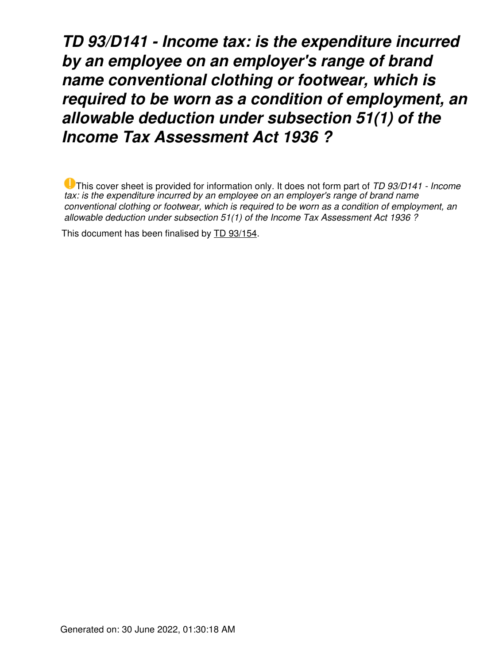*TD 93/D141 - Income tax: is the expenditure incurred by an employee on an employer's range of brand name conventional clothing or footwear, which is required to be worn as a condition of employment, an allowable deduction under subsection 51(1) of the Income Tax Assessment Act 1936 ?*

This cover sheet is provided for information only. It does not form part of *TD 93/D141 - Income tax: is the expenditure incurred by an employee on an employer's range of brand name conventional clothing or footwear, which is required to be worn as a condition of employment, an allowable deduction under subsection 51(1) of the Income Tax Assessment Act 1936 ?*

This document has been finalised by [TD 93/154](https://www.ato.gov.au/law/view/document?LocID=%22TXD%2FTD93154%2FNAT%2FATO%22&PiT=20140820000001).